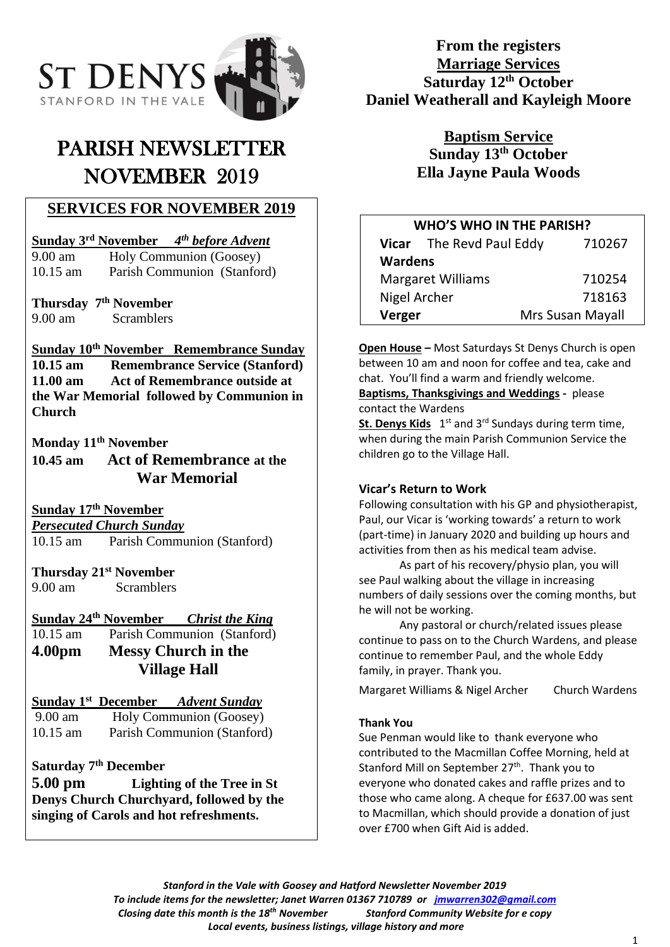

# PARISH NEWSLETTER NOVEMBER 2019

# **SERVICES FOR NOVEMBER 2019**

#### **Sunday 3 rd November** *4 th before Advent*

9.00 am Holy Communion (Goosey) 10.15 am Parish Communion (Stanford)

**Thursday 7 th November** 9.00 am Scramblers

## **Sunday 10 th November Remembrance Sunday**

**10.15 am Remembrance Service (Stanford) 11.00 am Act of Remembrance outside at the War Memorial followed by Communion in Church**

**Monday 11th November**

**10.45 am Act of Remembrance at the War Memorial**

**Sunday 17 th November**

*Persecuted Church Sunday*  10.15 am Parish Communion (Stanford)

**Thursday 21st November** 9.00 am Scramblers

### **Sunday 24 th November** *Christ the King*

10.15 am Parish Communion (Stanford) **4.00pm Messy Church in the Village Hall**

### **Sunday 1 st December** *Advent Sunday*

9.00 am Holy Communion (Goosey) 10.15 am Parish Communion (Stanford)

## **Saturday 7th December**

**5.00 pm Lighting of the Tree in St Denys Church Churchyard, followed by the singing of Carols and hot refreshments.**

# **From the registers Marriage Services Saturday 12th October Daniel Weatherall and Kayleigh Moore**

**Baptism Service Sunday 13th October Ella Jayne Paula Woods**

| <b>WHO'S WHO IN THE PARISH?</b> |                          |  |                  |        |
|---------------------------------|--------------------------|--|------------------|--------|
|                                 | Vicar The Revd Paul Eddy |  |                  | 710267 |
| <b>Wardens</b>                  |                          |  |                  |        |
| <b>Margaret Williams</b>        |                          |  |                  | 710254 |
| Nigel Archer                    |                          |  |                  | 718163 |
| Verger                          |                          |  | Mrs Susan Mayall |        |
|                                 |                          |  |                  |        |

**Open House –** Most Saturdays St Denys Church is open between 10 am and noon for coffee and tea, cake and chat. You'll find a warm and friendly welcome.

**Baptisms, Thanksgivings and Weddings -** please contact the Wardens

St. Denys Kids 1<sup>st</sup> and 3<sup>rd</sup> Sundays during term time, when during the main Parish Communion Service the children go to the Village Hall.

### **Vicar's Return to Work**

Following consultation with his GP and physiotherapist, Paul, our Vicar is 'working towards' a return to work (part-time) in January 2020 and building up hours and activities from then as his medical team advise.

As part of his recovery/physio plan, you will see Paul walking about the village in increasing numbers of daily sessions over the coming months, but he will not be working.

Any pastoral or church/related issues please continue to pass on to the Church Wardens, and please continue to remember Paul, and the whole Eddy family, in prayer. Thank you.

Margaret Williams & Nigel Archer Church Wardens

### **Thank You**

Sue Penman would like to thank everyone who contributed to the Macmillan Coffee Morning, held at Stanford Mill on September 27<sup>th</sup>. Thank you to everyone who donated cakes and raffle prizes and to those who came along. A cheque for £637.00 was sent to Macmillan, which should provide a donation of just over £700 when Gift Aid is added.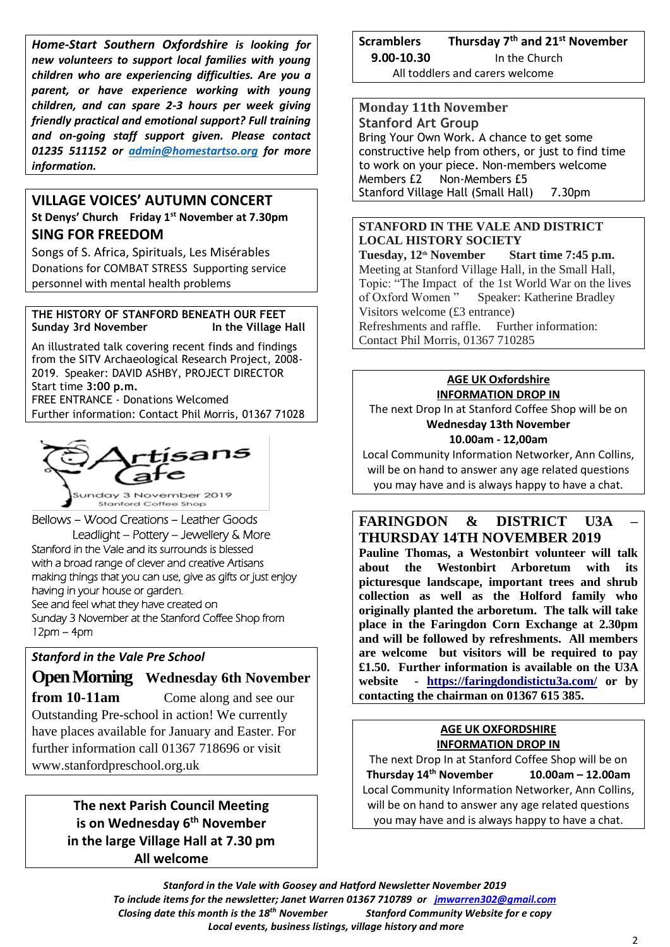*Home-Start Southern Oxfordshire is looking for new volunteers to support local families with young children who are experiencing difficulties. Are you a parent, or have experience working with young children, and can spare 2-3 hours per week giving friendly practical and emotional support? Full training and on-going staff support given. Please contact 01235 511152 or [admin@homestartso.org](mailto:admin@homestartso.org) for more information.*

## **VILLAGE VOICES' AUTUMN CONCERT St Denys' Church Friday 1st November at 7.30pm SING FOR FREEDOM**

Songs of S. Africa, Spirituals, Les Misérables Donations for COMBAT STRESS Supporting service personnel with mental health problems

#### **THE HISTORY OF STANFORD BENEATH OUR FEET Sunday 3rd November In the Village Hall**

An illustrated talk covering recent finds and findings from the SITV Archaeological Research Project, 2008- 2019. Speaker: DAVID ASHBY, PROJECT DIRECTOR Start time **3:00 p.m.** FREE ENTRANCE - Donations Welcomed Further information: Contact Phil Morris, 01367 71028



Bellows – Wood Creations – Leather Goods Leadlight – Pottery – Jewellery & More Stanford in the Vale and its surrounds is blessed with a broad range of clever and creative Artisans making things that you can use, give as gifts or just enjoy having in your house or garden. See and feel what they have created on Sunday 3 November at the Stanford Coffee Shop from 12pm – 4pm

## *Stanford in the Vale Pre School*

# **Open Morning Wednesday 6th November**

**from 10-11am** Come along and see our Outstanding Pre-school in action! We currently have places available for January and Easter. For further information call 01367 718696 or visit www.stanfordpreschool.org.uk

> **The next Parish Council Meeting is on Wednesday 6 th November in the large Village Hall at 7.30 pm All welcome**

**Scramblers th and 21st November 9.00-10.30** In the Church All toddlers and carers welcome

**Monday 11th November Stanford Art Group** Bring Your Own Work. A chance to get some constructive help from others, or just to find time to work on your piece. Non-members welcome Members £2 Non-Members £5 Stanford Village Hall (Small Hall) 7.30pm

#### **STANFORD IN THE VALE AND DISTRICT LOCAL HISTORY SOCIETY**

**Tuesday, 12th November Start time 7:45 p.m.** Meeting at Stanford Village Hall, in the Small Hall, Topic: "The Impact of the 1st World War on the lives of Oxford Women " Speaker: Katherine Bradley Visitors welcome (£3 entrance) Refreshments and raffle. Further information: Contact Phil Morris, 01367 710285

#### **AGE UK Oxfordshire INFORMATION DROP IN**

The next Drop In at Stanford Coffee Shop will be on **Wednesday 13th November 10.00am - 12,00am**

Local Community Information Networker, Ann Collins, will be on hand to answer any age related questions you may have and is always happy to have a chat.

## **FARINGDON & DISTRICT U3A – THURSDAY 14TH NOVEMBER 2019**

**Pauline Thomas, a Westonbirt volunteer will talk about the Westonbirt Arboretum with its picturesque landscape, important trees and shrub collection as well as the Holford family who originally planted the arboretum. The talk will take place in the Faringdon Corn Exchange at 2.30pm and will be followed by refreshments. All members are welcome but visitors will be required to pay £1.50. Further information is available on the U3A website - [https://faringdondistictu3a.com/](https://faringdondisticttu3a.com/) or by contacting the chairman on 01367 615 385.**

#### **AGE UK OXFORDSHIRE INFORMATION DROP IN**

The next Drop In at Stanford Coffee Shop will be on **Thursday 14 th November 10.00am – 12.00am** Local Community Information Networker, Ann Collins, will be on hand to answer any age related questions you may have and is always happy to have a chat.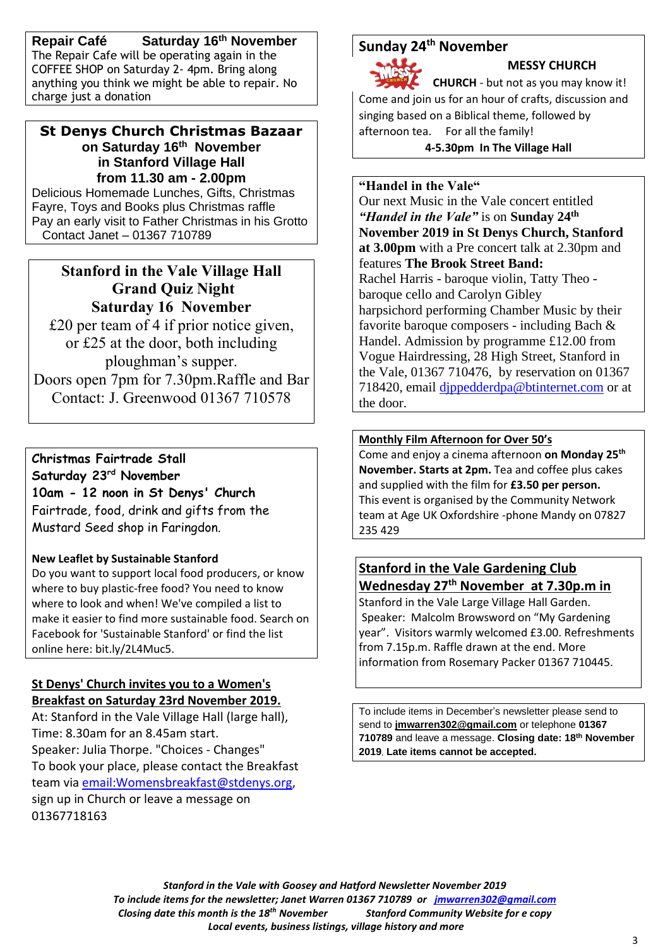**Repair Café Saturday 16th November** The Repair Cafe will be operating again in the COFFEE SHOP on Saturday 2- 4pm. Bring along anything you think we might be able to repair. No charge just a donation

### **St Denys Church Christmas Bazaar on Saturday 16 th November in Stanford Village Hall from 11.30 am - 2.00pm**

Delicious Homemade Lunches, Gifts, Christmas Fayre, Toys and Books plus Christmas raffle Pay an early visit to Father Christmas in his Grotto Contact Janet – 01367 710789

# **Stanford in the Vale Village Hall Grand Quiz Night Saturday 16 November**

£20 per team of 4 if prior notice given, or £25 at the door, both including ploughman's supper. Doors open 7pm for 7.30pm.Raffle and Bar Contact: J. Greenwood 01367 710578

**Christmas Fairtrade Stall Saturday 23rd November 10am - 12 noon in St Denys' Church** Fairtrade, food, drink and gifts from the Mustard Seed shop in Faringdon.

## **New Leaflet by Sustainable Stanford**

Do you want to support local food producers, or know where to buy plastic-free food? You need to know where to look and when! We've compiled a list to make it easier to find more sustainable food. Search on Facebook for 'Sustainable Stanford' or find the list online here: bit.ly/2L4Muc5.

## **St Denys' Church invites you to a Women's Breakfast on Saturday 23rd November 2019.**

At: Stanford in the Vale Village Hall (large hall), Time: 8.30am for an 8.45am start. Speaker: Julia Thorpe. "Choices - Changes" To book your place, please contact the Breakfast team via [email:Womensbreakfast@stdenys.org,](mailto:email%3AWomensbreakfast@stdenys.org) sign up in Church or leave a message on 01367718163

# **Sunday 24 th November**

 **MESSY CHURCH**

**CHURCH** - but not as you may know it! Come and join us for an hour of crafts, discussion and singing based on a Biblical theme, followed by afternoon tea. For all the family! **4-5.30pm In The Village Hall**

#### **"Handel in the Vale"**

Our next Music in the Vale concert entitled *"Handel in the Vale"* is on **Sunday 24th November 2019 in St Denys Church, Stanford at 3.00pm** with a Pre concert talk at 2.30pm and features **The Brook Street Band:**  Rachel Harris - baroque violin, Tatty Theo baroque cello and Carolyn Gibley harpsichord performing Chamber Music by their favorite baroque composers - including Bach & Handel. Admission by programme £12.00 from Vogue Hairdressing, 28 High Street, Stanford in the Vale, 01367 710476, by reservation on 01367 718420, email [djppedderdpa@btinternet.com](mailto:djppedderdpa@btinternet.com) or at the door.

### **Monthly Film Afternoon for Over 50's**

Come and enjoy a cinema afternoon **on Monday 25 th November. Starts at 2pm.** Tea and coffee plus cakes and supplied with the film for **£3.50 per person.** This event is organised by the Community Network team at Age UK Oxfordshire -phone Mandy on 07827 235 429

# **Stanford in the Vale Gardening Club Wednesday 27 th November at 7.30p.m in**

Stanford in the Vale Large Village Hall Garden. Speaker: Malcolm Browsword on "My Gardening year". Visitors warmly welcomed £3.00. Refreshments from 7.15p.m. Raffle drawn at the end. More information from Rosemary Packer 01367 710445.

To include items in December's newsletter please send to send to **[jmwarren302@gmail.com](mailto:jmwarren302@gmail.com)** or telephone **01367 710789** and leave a message. **Closing date: 18th November 2019**. **Late items cannot be accepted.**